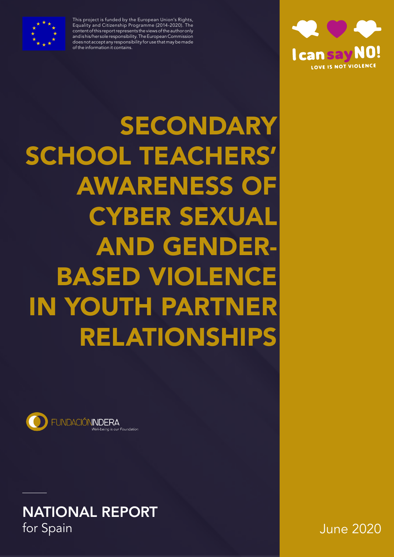

This project is funded by the European Union's Rights, Equality and Citizenship Programme (2014-2020). The content of this report represents the views of the author only and is his/her sole responsibility. The European Commission does not accept any responsibility for use that may be made of the information it contains.



SECONDARY SCHOOL TEACHERS' AWARENESS OF CYBER SEXUAL AND GENDER-BASED VIOLENCE IN YOUTH PARTNER RELATIONSHIPS



**NATIONAL REPORT**<br>for Spain

June 2020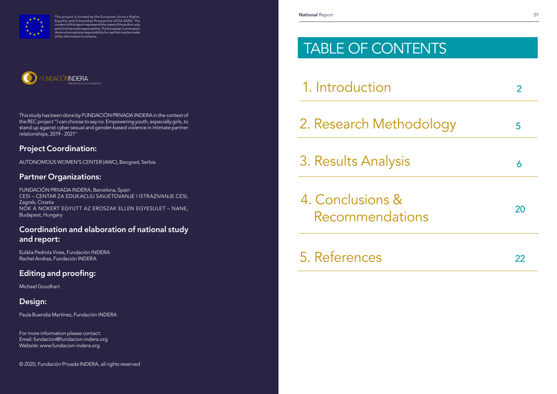# TABLE OF CONTENTS

1. Introduction

2. Research Method

4. Conclusions & Recommendation

5. References

3. Results Analysis <sup>6</sup>

This study has been done by FUNDACIÓN PRIVADA INDERA in the context of the REC project "I can choose to say no. Empowering youth, especially girls, to stand up against cyber sexual and gender-based violence in intimate partner relationships, 2019 - 2021"

## Project Coordination:

AUTONOMOUS WOMEN'S CENTER (AWC), Beograd, Serbia

## Partner Organizations:

FUNDACIÓN PRIVADA INDERA, Barcelona, Spain CESI – CENTAR ZA EDUKACIJU SAVJETOVANJE I ISTRAZIVANJE CESI, Zagreb, Croatia NOK A NOKERT EGYUTT AZ EROSZAK ELLEN EGYESULET – NANE, Budapest, Hungary

## Coordination and elaboration of national study and report:

Eulàlia Pedrola Vives, Fundación INDERA Rachel Andras, Fundación INDERA

# Editing and proofing:

Michael Goodhart

## Design:

Paula Buendia Martínez, Fundación INDERA

For more information please contact: Email: fundacion@fundacion-indera.org Website: www.fundacion-indera.org

© 2020, Fundación Privada INDERA, all rights reserved



This project is funded by the European Union's Rights, Equality and Citizenship Programme (2014-2020). The content of this report represents the views of the author only and is his/her sole responsibility. The European Commission does not accept any responsibility for use that may be made of the information it contains.



|       | $\overline{2}$ |
|-------|----------------|
| ology | 5              |
|       | 6              |
| IS    | 20             |
|       | 22             |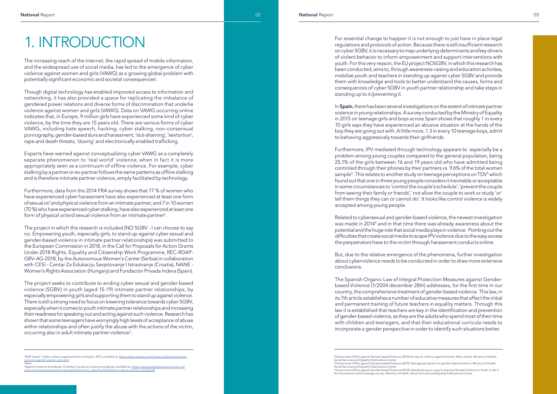The increasing reach of the internet, the rapid spread of mobile information, and the widespread use of social media, has led to the emergence of cyber violence against women and girls (VAWG) as a growing global problem with potentially significant economic and societal consequences 1 .

Though digital technology has enabled improved access to information and networking, it has also provided a space for replicating the imbalance of gendered power relations and diverse forms of discrimination that underlie violence against women and girls (VAWG). Data on VAWG occurring online indicates that, in Europe, 9 million girls have experienced some kind of cyber violence, by the time they are 15 years old. There are various forms of cyber VAWG, including hate speech, hacking, cyber stalking, non-consensual pornography, gender-based slurs and harassment, 'slut-shaming', 'sextortion', rape and death threats, 'doxing' and electronically enabled trafficking.

Furthermore, data from the 2014 FRA survey shows that 77 % of women who have experienced cyber harassment have also experienced at least one form of sexual or/ and physical violence from an intimate partner; and 7 in 10 women (70 %) who have experienced cyber stalking, have also experienced at least one form of physical or/and sexual violence from an intimate partner $^{\text{2}}$ .

Experts have warned against conceptualizing cyber VAWG as a completely separate phenomenon to 'real world' violence, when in fact it is more appropriately seen as a continuum of offline violence. For example, cyber stalking by a partner or ex-partner follows the same patterns as offline stalking and is therefore intimate partner violence, simply facilitated by technology.

The project in which this research is included (NO SGBV - I can choose to say no. Empowering youth, especially girls, to stand up against cyber sexual and gender-based violence in intimate partner relationships) was submitted to the European Commission in 2018, in the Call for Proposals for Action Grants Under 2018 Rights, Equality and Citizenship Work Programme, REC-RDAP-GBV-AG-2018, by the Autonomous Women's Center (Serbia) in collaboration with CESI - Centar Za Edukaciju Savjetovanje I Istrazivanje (Croatia), NANE - Women's Rights Association (Hungary) and Fundación Privada Indera (Spain).

In Spain, there has been several investigations on the extent of intimate partner violence in young relationships. A survey conducted by the Ministry of Equality in 2015 on teenage girls and boys across Spain shows that roughly 1 in every 10 girls says they have experienced an abusive situation at the hands of the boy they are going out with. A little more, 1.3 in every 10 teenage boys, admit to behaving aggressively towards their girlfriends.

The project seeks to contribute to ending cyber sexual and gender-based violence (SGBV) in youth (aged 15-19) intimate partner relationships, by especially empowering girls and supporting them to stand up against violence. There is still a strong need to focus on lowering tolerance towards cyber SGBV, especially when it comes to youth intimate partner relationships and increasing their readiness for speaking out and acting against such violence. Research has shown that some teenagers have worryingly high levels of acceptance of abuse within relationships and often justify the abuse with the actions of the victim, occurring also in adult intimate partner violence 3 .

# 1. INTRODUCTION

For essential change to happen it is not enough to just have in place legal regulations and protocols of action. Because there is still insufficient research on cyber SGBV, it is necessary to map underlying determinants and key drivers of violent behavior to inform empowerment and support interventions with youth. For this very reason, the EU project NOSGBV, in which this research has been conducted, aims to, through awareness-raising and education activities, mobilize youth and teachers in standing up against cyber SGBV and provide them with knowledge and tools to better understand the causes, forms and consequences of cyber SGBV in youth partner relationship and take steps in standing up to it/preventing it.

Furthermore, IPV mediated through technology appears to especially be a problem among young couples compared to the general population, being 25,1% of the girls between 16 and 19 years old who have admitted being controled through their phones by their partners vs. 9.6% of the total women sample 4 . This relates to another study on teenage perceptions on TDV 5 which found out that one in three young people considers it inevitable or acceptable in some circumstances to 'control the couple's schedule', 'prevent the couple from seeing their family or friends',' not allow the couple to work or study 'or' tell them things they can or cannot do'. It looks like control violence is widely accepted among young people.

Related to cybersexual and gender-based violence, the newest investigation was made in 2014<sup>6</sup> and in that time there was already awareness about the potential and the huge role that social media plays in violence. Pointing out the difficulties that create social media to scape IPV violence due to the easy access the perpetrators have to the victim through harassment conducts online.

But, due to the relative emergence of the phenomena, further investigation about cyberviolence needs to be conducted in order to draw more extensive conclusions.

The Spanish Organic Law of Integral Protection Measures against Genderbased Violence (1/2004 december 28th) addresses, for the first time in our country, the comprehensive treatment of gender-based violence. This law, in its 7th article establishes a number of educative measures that affect the initial and permanent training of future teachers in equality matters. Through this law it is established that teachers are key in the identification and prevention of gender-based violence, as they are the adults who spend most of their time with children and teenagers, and that their educational curricula needs to incorporate a gender perspective in order to identify such situations better.

<sup>&</sup>lt;sup>1</sup>EIGE report "Cyber violence against women and girls",2017, available at: https://eige.europa.eu/rdc/eige-publications/cyberviolence-against-women-and-girls 2

<sup>&</sup>lt;sup>2</sup>ldem.<br><sup>3</sup>Against Violence and Abuse: A teacher's guide to violence and abuse, available at: <u>https://assets.publishing.service.gov.uk/</u> government-up at the component of the set of the set of the system of the system of the system of the system of the system of the system of the system of the system of the system of the system of the system of the system o

<sup>4</sup>Government Office against Gender based Violence (2015) Survey on violence against women: Main results. Ministry of Health, Social Services and Equality Publications Center. <sup>5</sup>Government Office against Gender based Violence (2015) Teenage perception on gender-based violence. Ministry of Health, Social Services and Equality Publications Center. 6Government Office against Gender based Violence (2014) Cyberbullying as a way to exercise Gender Violence in Youth: a risk in the information and knowledge society. Ministry of Health, Social Services and Equality Publications Center.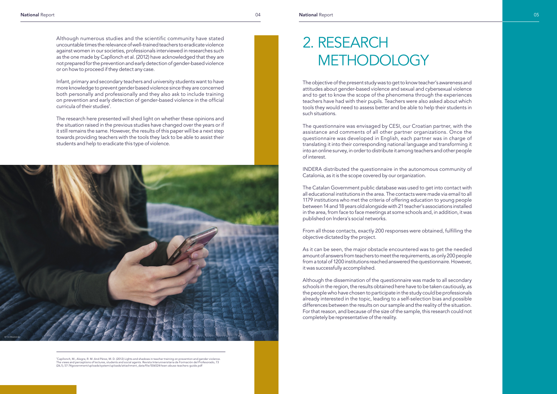Although numerous studies and the scientific community have stated uncountable times the relevance of well-trained teachers to eradicate violence against women in our societies, professionals interviewed in researches such as the one made by Capllonch et al. (2012) have acknowledged that they are not prepared for the prevention and early detection of gender-based violence or on how to proceed if they detect any case.

Infant, primary and secondary teachers and university students want to have more knowledge to prevent gender based violence since they are concerned both personally and professionally and they also ask to include training on prevention and early detection of gender-based violence in the official curricula of their studies7 .

The research here presented will shed light on whether these opinions and the situation raised in the previous studies have changed over the years or if it still remains the same. However, the results of this paper will be a next step towards providing teachers with the tools they lack to be able to assist their students and help to eradicate this type of violence.



'Capllonch, M., Alegre, R. M. And Pérez, M. D. (2012) Lights and shadows in teacher training on prevention and gender violence.<br>The views and perceptions of lectures, students and social agents. Revista Interuniversitaria

The objective of the present study was to get to know teacher's awareness and attitudes about gender-based violence and sexual and cybersexual violence and to get to know the scope of the phenomena through the experiences teachers have had with their pupils. Teachers were also asked about which tools they would need to assess better and be able to help their students in such situations.

# 2. RESEARCH **METHODOLOGY**

The questionnaire was envisaged by CESI, our Croatian partner, with the assistance and comments of all other partner organizations. Once the questionnaire was developed in English, each partner was in charge of translating it into their corresponding national language and transforming it into an online survey, in order to distribute it among teachers and other people of interest.

INDERA distributed the questionnaire in the autonomous community of Catalonia, as it is the scope covered by our organization.

The Catalan Government public database was used to get into contact with all educational institutions in the area. The contacts were made via email to all 1179 institutions who met the criteria of offering education to young people between 14 and 18 years old alongside with 21 teacher's associations installed in the area, from face to face meetings at some schools and, in addition, it was published on Indera's social networks.

From all those contacts, exactly 200 responses were obtained, fulfilling the objective dictated by the project.

As it can be seen, the major obstacle encountered was to get the needed amount of answers from teachers to meet the requirements, as only 200 people from a total of 1200 institutions reached answered the questionnaire. However, it was successfully accomplished.

Although the dissemination of the questionnaire was made to all secondary schools in the region, the results obtained here have to be taken cautiously, as the people who have chosen to participate in the study could be professionals already interested in the topic, leading to a self-selection bias and possible differences between the results on our sample and the reality of the situation. For that reason, and because of the size of the sample, this research could not completely be representative of the reality.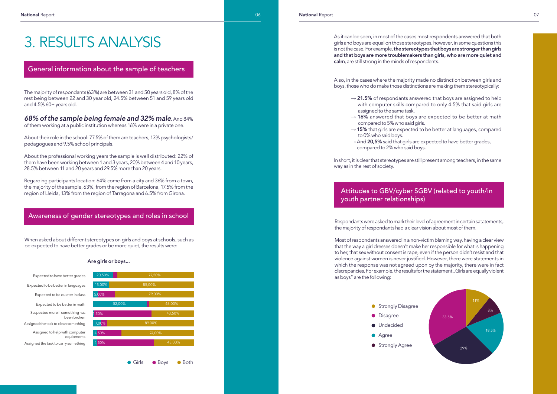The majority of respondants (63%) are between 31 and 50 years old, 8% of the rest being between 22 and 30 year old, 24.5% between 51 and 59 years old and 4.5% 60+ years old.

### *68% of the sample being female and 32% male*. And 84%

of them working at a public institution whereas 16% were in a private one.

About their role in the school: 77.5% of them are teachers, 13% psychologists/ pedagogues and 9,5% school principals.

About the professional working years the sample is well distributed: 22% of them have been working between 1 and 3 years, 20% between 4 and 10 years, 28.5% between 11 and 20 years and 29.5% more than 20 years.

Regarding participants location: 64% come from a city and 36% from a town, the majority of the sample, 63%, from the region of Barcelona, 17.5% from the region of Lleida, 13% from the region of Tarragona and 6.5% from Girona.

### As it can be seen, in most of the cases most respondents answered that both girls and boys are equal on those stereotypes, however, in some questions this is not the case. For example, the stereotypes that boys are stronger than girls and that boys are more troublemakers than girls, who are more quiet and calm, are still strong in the minds of respondents.

# 3. RESULTS ANALYSIS

### General information about the sample of teachers

When asked about different stereotypes on girls and boys at schools, such as be expected to have better grades or be more quiet, the results were:

## Awareness of gender stereotypes and roles in school





● Girls ● Boys ● Both

 $\rightarrow$  21.5% of respondants answered that boys are assigned to help with computer skills compared to only 4.5% that said girls are

 $\rightarrow$  16% answered that boys are expected to be better at math

### Are girls or boys...

Also, in the cases where the majority made no distinction between girls and boys, those who do make those distinctions are making them stereotypically:

- assigned to the same task.
- compared to 5% who said girls.
- $\rightarrow$  15% that girls are expected to be better at languages, compared to 0% who said boys.
- $\rightarrow$  And 20,5% said that girls are expected to have better grades, compared to 2% who said boys.

In short, it is clear that stereotypes are still present among teachers, in the same way as in the rest of society.

### Attitudes to GBV/cyber SGBV (related to youth/in youth partner relationships)

Respondants were asked to mark their level of agreement in certain satatements, the majority of respondants had a clear vision about most of them.

Most of respondants answered in a non-victim blaming way, having a clear view that the way a girl dresses doesn't make her responsible for what is happening to her, that sex without consent is rape, even if the person didn't resist and that violence against women is never justified. However, there were statements in which the response was not agreed upon by the majority, there were in fact discrepancies. For example, the results for the statement "Girls are equally violent as boys" are the following:

**O** Disagree **O** Undecided **A**gree **Strongly Disagree Strongly Agree** 

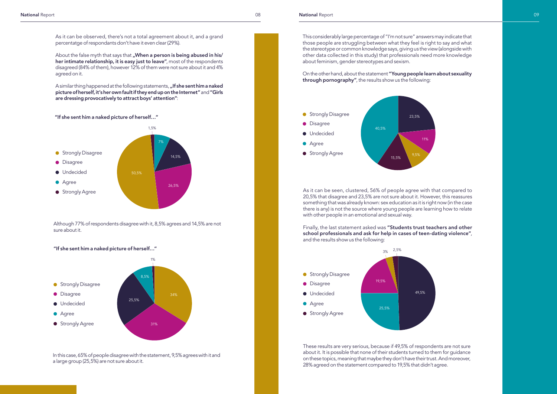As it can be observed, there's not a total agreement about it, and a grand percentatge of respondants don't have it even clear (29%).

About the false myth that says that "When a person is being abused in his/ her intimate relationship, it is easy just to leave", most of the respondents disagreed (84% of them), however 12% of them were not sure about it and 4% agreed on it.

A similar thing happened at the following statements, "If she sent him a naked picture of herself, it's her own fault if they end up on the Internet" and "Girls are dressing provocatively to attract boys' attention":

### "If she sent him a naked picture of herself…"

Although 77% of respondents disagree with it, 8,5% agrees and 14,5% are not sure about it.

### "If she sent him a naked picture of herself…"

In this case, 65% of people disagree with the statement, 9,5% agrees with it and a large group (25,5%) are not sure about it.

This considerably large percentage of "I'm not sure" answers may indicate that those people are struggling between what they feel is right to say and what the stereotype or common knowledge says, giving us the view (alongside with other data collected in this study) that professionals need more knowledge about feminism, gender stereotypes and sexism.

On the other hand, about the statement "Young people learn about sexuality through pornography", the results show us the following:



As it can be seen, clustered, 56% of people agree with that compared to 20,5% that disagree and 23,5% are not sure about it. However, this reassures something that was already known: sex education as it is right now (in the case there is any) is not the source where young people are learning how to relate with other people in an emotional and sexual way.

Finally, the last statement asked was "Students trust teachers and other school professionals and ask for help in cases of teen-dating violence", and the results show us the following:

These results are very serious, because if 49,5% of respondents are not sure about it. It is possible that none of their students turned to them for guidance on these topics, meaning that maybe they don't have their trust. And moreover, 28% agreed on the statement compared to 19,5% that didn't agree.





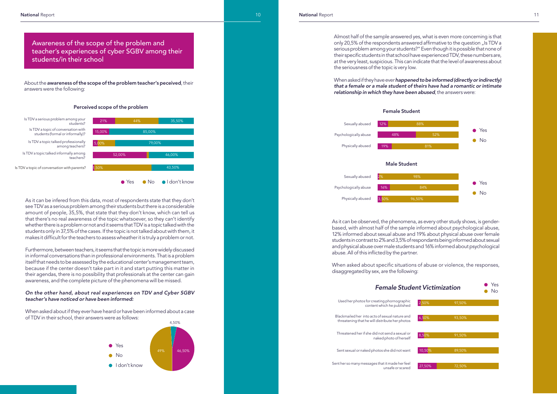About the awareness of the scope of the problem teacher's peceived, their answers were the following:

Awareness of the scope of the problem and teacher's experiences of cyber SGBV among their students/in their school



### Perceived scope of the problem

As it can be infered from this data, most of respondents state that they don't see TDV as a serious problem among their students but there is a considerable amount of people, 35,5%, that state that they don't know, which can tell us that there's no real awareness of the topic whatsoever, so they can't identify whether there is a problem or not and it seems that TDV is a topic talked with the students only in 37,5% of the cases. If the topic is not talked about with them, it makes it difficult for the teachers to assess wheather it is truly a problem or not.

Furthermore, between teachers, it seems that the topic is more widely discussed in informal conversations than in professional environments. That is a problem itself that needs to be assessed by the educational center's management team, because if the center doesn't take part in it and start putting this matter in their agendas, there is no possibility that professionals at the center can gain awareness, and the complete picture of the phenomena will be missed.

### *On the other hand, about real experiences on TDV and Cyber SGBV teacher's have noticed or have been informed:*

When asked about if they ever have heard or have been informed about a case of TDV in their school, their answers were as follows:



Almost half of the sample answered yes, what is even more concerning is that only 20,5% of the respondents answered affirmative to the question "Is TDV a serious problem among your students?" Even though it is possible that none of their specific students in that school have experienced TDV, these numbers are, at the very least, suspicious. This can indicate that the level of awareness about the seriousness of the topic is very low.

When asked if they have ever *happened to be informed (directly or indirectly) that a female or a male student of theirs have had a romantic or intimate relationship in which they have been abused*, the answers were:



As it can be observed, the phenomena, as every other study shows, is genderbased, with almost half of the sample informed about psychological abuse, 12% informed about sexual abuse and 19% about physical abuse over female students in contrast to 2% and 3,5% of respondants being informed about sexual and physical abuse over male students and 16% informed about psychological abuse. All of this inflicted by the partner.

When asked about specific situations of abuse or violence, the responses, disaggregated by sex, are the following:

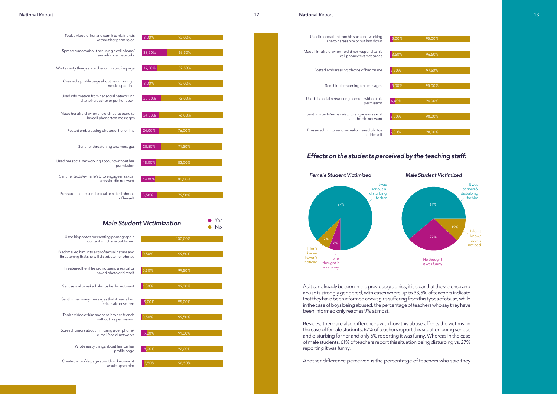Took a video of her and sent it to his friends without her permission Spread rumors about her using a cell phone/ e-mail/social networks

Wrote nasty things about her on his profile page

Made her afraid when she did not respond to his cell phone/text messages

Created a profile page about her knowing it would upset her

Used information from her social networking site to harass her or put her down

Posted embarassing photos of her online

Sent her threatening text mesages

Used her social networking account without her permission

Sent her texts/e-mails/etc.to engage in sexual acts she did not want

Pressured her to send sexual or naked photos of herself 8,50% 79,50%

# **Male Student Victimization**

Yes

| 100,00% |       | Used his photos for creating pornographic<br>content which she published                          |
|---------|-------|---------------------------------------------------------------------------------------------------|
| 99,50%  | 0,50% | Blackmailed him into acts of sexual nature and<br>threatening that she will distribute her photos |
| 99,50%  | 0,50% | Threatened her if he did not send a sexual or<br>naked photo of himself                           |
| 99,00%  | 1,00% | Sent sexual or naked photos he did not want                                                       |
| 95,00%  | 5,00% | Sent him so many messages that it made him<br>feel unsafe or scared                               |
| 99,50%  | 0,50% | Took a video of him and sent it to her friends<br>without his permission                          |
| 91,00%  | 9,00% | Spread rumors about him using a cell phone/<br>e-mail/social networks                             |
| 92,00%  | 8,00% | Wrote nasty things about him on her<br>profile page                                               |
| 96,50%  | 3,50% | Created a profile page about him knowing it<br>would upset him                                    |

| 8,00%  | 92,00% |  |
|--------|--------|--|
|        |        |  |
| 33,50% | 66,50% |  |
|        |        |  |
| 17,50% | 82,50% |  |
|        |        |  |
| 8,00%  | 92,00% |  |
|        |        |  |
| 28,00% | 72,00% |  |
|        |        |  |
| 24,00% | 76,00% |  |
|        |        |  |
| 24,00% | 76,00% |  |
|        |        |  |
| 28,50% | 71,50% |  |
|        |        |  |
| 18,00% | 82,00% |  |
|        |        |  |
| 14,00% | 86,00% |  |
|        |        |  |
| 8,50%  | 79,50% |  |
|        |        |  |
|        |        |  |

As it can already be seen in the previous graphics, it is clear that the violence and abuse is strongly gendered, with cases where up to 33,5% of teachers indicate that they have been informed about girls suffering from this types of abuse, while in the case of boys being abused, the percentage of teachers who say they have been informed only reaches 9% at most.

Besides, there are also differences with how this abuse affects the victims: in the case of female students, 87% of teachers report this situation being serious and disturbing for her and only 6% reporting it was funny. Whereas in the case of male students, 61% of teachers report this situation being disturbing vs. 27% reporting it was funny.

Another difference perceived is the percentatge of teachers who said they 3,50% 96,50% 96,50% 96,50% 96,50% 96,50% 96,50% 96,50% 96,50% 96,50% 96,50% 96,50% 96,50% 96,50% 96,50% 96,50% 96,50% 96,50% 96,50% 96,50% 96,50% 96



### *Effects on the students perceived by the teaching staff:*

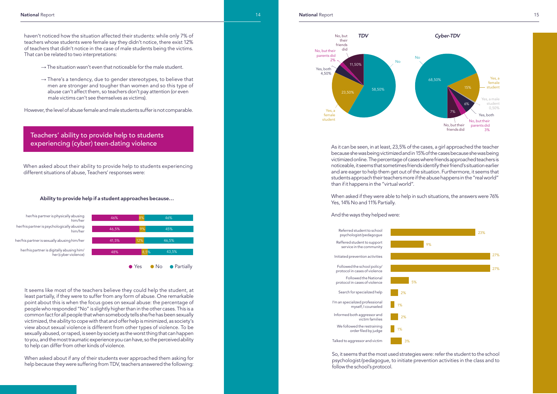haven't noticed how the situation affected their students: while only 7% of teachers whose students were female say they didn't notice, there exist 12% of teachers that didn't notice in the case of male students being the victims. That can be related to two interpretations:

- $\rightarrow$  The situation wasn't even that noticeable for the male student.
- $\rightarrow$  There's a tendency, due to gender stereotypes, to believe that men are stronger and tougher than women and so this type of abuse can't affect them, so teachers don't pay attention (or even male victims can't see themselves as victims).

However, the level of abuse female and male students suffer is not comparable.

As it can be seen, in at least, 23,5% of the cases, a girl approached the teacher because she was being victimized and in 15% of the cases because she was being victimized online. The percentage of cases where friends approached teachers is noticeable, it seems that sometimes friends identify their friend's situation earlier and are eager to help them get out of the situation. Furthermore, it seems that students approach their teachers more if the abuse happens in the "real world" than if it happens in the "virtual world".

When asked if they were able to help in such situations, the answers were 76% Yes, 14% No and 11% Partially.

### And the ways they helped were:

### Teachers' ability to provide help to students experiencing (cyber) teen-dating violence

When asked about their ability to provide help to students experiencing different situations of abuse, Teachers' responses were:



### Ability to provide help if a student approaches because…



It seems like most of the teachers believe they could help the student, at least partially, if they were to suffer from any form of abuse. One remarkable point about this is when the focus goes on sexual abuse: the percentage of people who responded "No" is slightly higher than in the other cases. This is a common fact for all people that when somebody tells she/he has been sexually victimized, the ability to cope with that and offer help is minimized, as society's view about sexual violence is different from other types of violence. To be sexually abused, or raped, is seen by society as the worst thing that can happen to you, and the most traumatic experience you can have, so the perceived ability to help can differ from other kinds of violence.

When asked about if any of their students ever approached them asking for help because they were suffering from TDV, teachers answered the following:





So, it seems that the most used strategies were: refer the student to the school psychologist/pedagogue, to initiate prevention activities in the class and to follow the school's protocol.

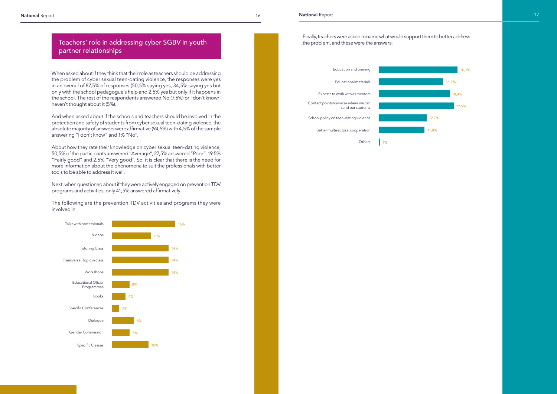Finally, teachers were asked to name what would support them to better address the problem, and these were the answers:



When asked about if they think that their role as teachers should be addressing the problem of cyber sexual teen-dating violence, the responses were yes in an overall of 87,5% of responses (50,5% saying yes, 34,5% saying yes but only with the school pedagogue's help and 2,5% yes but only if it happens in the school. The rest of the respondents answered No (7.5%) or I don't know/I haven't thought about it (5%).



And when asked about if the schools and teachers should be involved in the protection and safety of students from cyber sexual teen-dating violence, the absolute majority of answers were affirmative (94,5%) with 4,5% of the sample answering "I don't know" and 1% "No".

About how they rate their knowledge on cyber sexual teen-dating violence, 50,5% of the participants answered "Average", 27,5% answered "Poor", 19,5% "Fairly good" and 2,5% "Very good". So, it is clear that there is the need for more information about the phenomena to suit the professionals with better tools to be able to address it well.

Next, when questioned about if they were actively engaged on prevention TDV programs and activities, only 41,5% answered affirmatively.

The following are the prevention TDV activities and programs they were involved in:



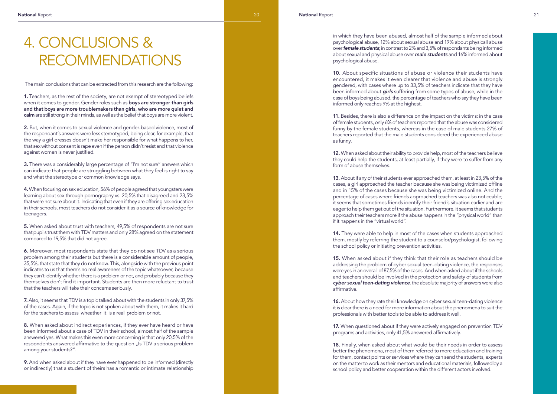# 4. CONCLUSIONS & RECOMMENDATIONS

1. Teachers, as the rest of the society, are not exempt of stereotyped beliefs when it comes to gender. Gender roles such as **boys are stronger than girls** and that boys are more troublemakers than girls, who are more quiet and calm are still strong in their minds, as well as the belief that boys are more violent.

The main conclusions that can be extracted from this research are the following:

2. But, when it comes to sexual violence and gender-based violence, most of the respondant's answers were less stereotyped, being clear, for example, that the way a girl dresses doesn't make her responsible for what happens to her, that sex without consent is rape even if the person didn't resist and that violence against women is never justified.

3. There was a considerably large percentage of "I'm not sure" answers which can indicate that people are struggling between what they feel is right to say and what the stereotype or common knowledge says.

4. When focusing on sex education, 56% of people agreed that youngsters were learning about sex through pornography vs. 20,5% that disagreed and 23,5% that were not sure about it. Indicating that even if they are offering sex education in their schools, most teachers do not consider it as a source of knowledge for teenagers.

5. When asked about trust with teachers, 49,5% of respondents are not sure that pupils trust them with TDV matters and only 28% agreed on the statement compared to 19,5% that did not agree.

6. Moreover, most respondants state that they do not see TDV as a serious problem among their students but there is a considerable amount of people, 35,5%, that state that they do not know. This, alongside with the previous point indicates to us that there's no real awareness of the topic whatsoever, because they can't identify whether there is a problem or not, and probably because they themselves don't find it important. Students are then more reluctant to trust that the teachers will take their concerns seriously.

7. Also, it seems that TDV is a topic talked about with the students in only 37,5% of the cases. Again, if the topic is not spoken about with them, it makes it hard for the teachers to assess wheather it is a real problem or not.

8. When asked about indirect experiences, if they ever have heard or have been informed about a case of TDV in their school, almost half of the sample answered yes. What makes this even more concerning is that only 20,5% of the respondents answered affirmative to the question "Is TDV a serious problem among your students?".

9. And when asked about if they have ever happened to be informed (directly or indirectly) that a student of theirs has a romantic or intimate relationship 16. About how they rate their knowledge on cyber sexual teen-dating violence it is clear there is a need for more information about the phenomena to suit the professionals with better tools to be able to address it well.

17. When questioned about if they were actively engaged on prevention TDV programs and activities, only 41,5% answered affirmatively.

in which they have been abused, almost half of the sample informed about psychological abuse, 12% about sexual abuse and 19% about physicall abuse over *female students*; in contrast to 2% and 3,5% of respondants being informed about sexual and physical abuse over *male students* and 16% informed about psychological abuse.

10. About specific situations of abuse or violence their students have encountered, it makes it even clearer that violence and abuse is strongly gendered, with cases where up to 33,5% of teachers indicate that they have been informed about *girls* suffering from some types of abuse, while in the case of boys being abused, the percentage of teachers who say they have been informed only reaches 9% at the highest.

11. Besides, there is also a difference on the impact on the victims: in the case of female students, only 6% of teachers reported that the abuse was considered funny by the female students, whereas in the case of male students 27% of teachers reported that the male students considered the experienced abuse as funny.

12. When asked about their ability to provide help, most of the teachers believe they could help the students, at least partially, if they were to suffer from any form of abuse themselves.

13. About if any of their students ever approached them, at least in 23,5% of the cases, a girl approached the teacher because she was being victimized offline and in 15% of the cases because she was being victimized online. And the percentage of cases where friends approached teachers was also noticeable; it seems that sometimes friends identify their friend's situation earlier and are eager to help them get out of the situation. Furthermore, it seems that students approach their teachers more if the abuse happens in the "physical world" than if it happens in the "virtual world".

14. They were able to help in most of the cases when students approached them, mostly by referring the student to a counselor/psychologist, following the school policy or initiating prevention activities.

15. When asked about if they think that their role as teachers should be addressing the problem of cyber sexual teen-dating violence, the responses were yes in an overall of 87,5% of the cases. And when asked about if the schools and teachers should be involved in the protection and safety of students from *cyber sexual teen-dating violence*, the absolute majority of answers were also affirmative.

18. Finally, when asked about what would be their needs in order to assess better the phenomena, most of them referred to more education and training for them, contact points or services where they can send the students, experts on the matter to work as their mentors and educational materials, followed by a school policy and better cooperation within the different actors involved.